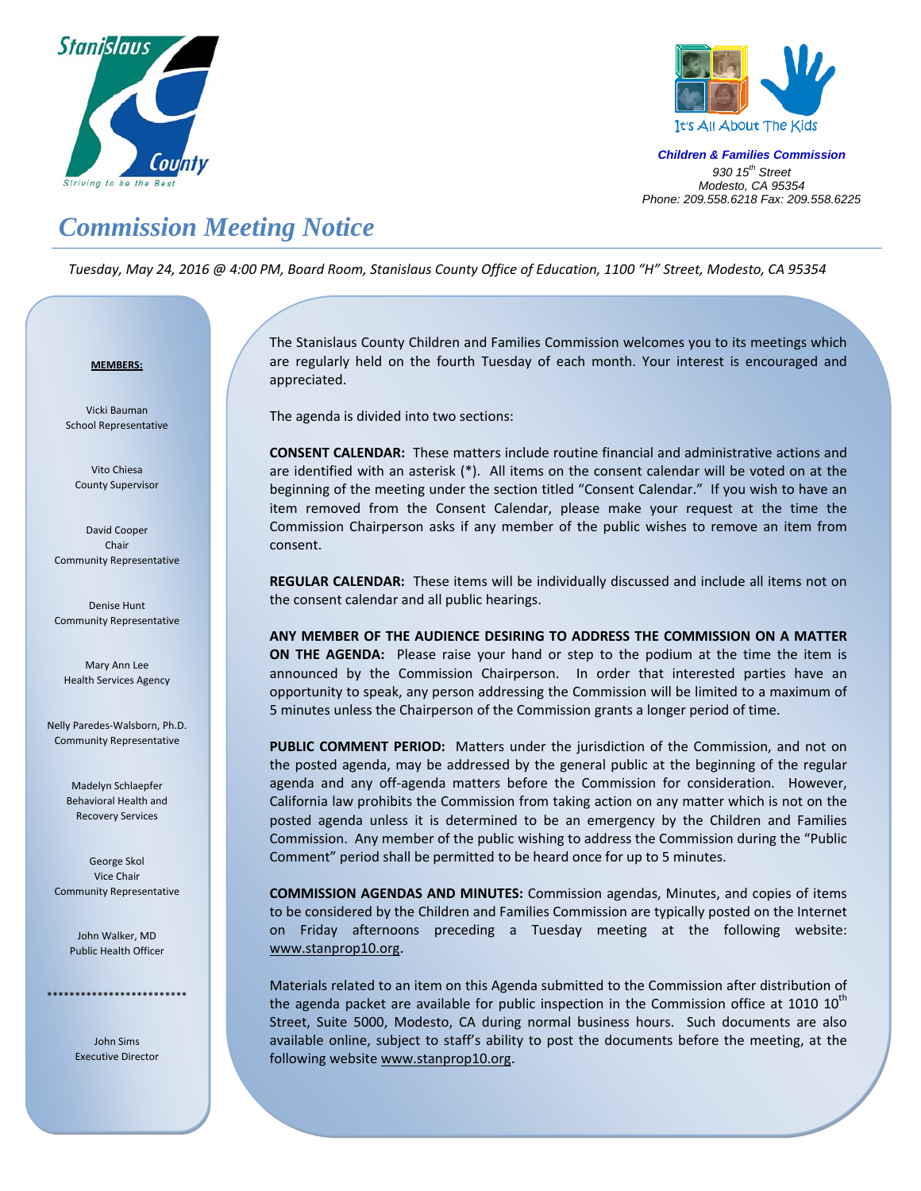



*Children & Families Commission 930 15th Street Modesto, CA 95354 Phone: 209.558.6218 Fax: 209.558.6225*

## *Commission Meeting Notice*

Tuesday, May 24, 2016 @ 4:00 PM, Board Room, Stanislaus County Office of Education, 1100 "H" Street, Modesto, CA 95354

## <sup>U</sup>**MEMBERS:**

Vicki Bauman School Representative

Vito Chiesa County Supervisor

David Cooper Chair Community Representative

Denise Hunt Community Representative

Mary Ann Lee Health Services Agency

Nelly Paredes‐Walsborn, Ph.D. Community Representative

> Madelyn Schlaepfer Behavioral Health and Recovery Services

George Skol Vice Chair Community Representative

> John Walker, MD Public Health Officer

\*\*\*\*\*\*\*\*\*\*\*\*\*\*\*\*\*\*\*\*\*\*\*\*\*

John Sims Executive Director

Į

The Stanislaus County Children and Families Commission welcomes you to its meetings which are regularly held on the fourth Tuesday of each month. Your interest is encouraged and appreciated.

The agenda is divided into two sections:

**CONSENT CALENDAR:** These matters include routine financial and administrative actions and are identified with an asterisk (\*). All items on the consent calendar will be voted on at the beginning of the meeting under the section titled "Consent Calendar." If you wish to have an item removed from the Consent Calendar, please make your request at the time the Commission Chairperson asks if any member of the public wishes to remove an item from consent.

**REGULAR CALENDAR:** These items will be individually discussed and include all items not on the consent calendar and all public hearings.

**ANY MEMBER OF THE AUDIENCE DESIRING TO ADDRESS THE COMMISSION ON A MATTER ON THE AGENDA:**  Please raise your hand or step to the podium at the time the item is announced by the Commission Chairperson. In order that interested parties have an opportunity to speak, any person addressing the Commission will be limited to a maximum of 5 minutes unless the Chairperson of the Commission grants a longer period of time.

**PUBLIC COMMENT PERIOD:** Matters under the jurisdiction of the Commission, and not on the posted agenda, may be addressed by the general public at the beginning of the regular agenda and any off-agenda matters before the Commission for consideration. However, California law prohibits the Commission from taking action on any matter which is not on the posted agenda unless it is determined to be an emergency by the Children and Families Commission. Any member of the public wishing to address the Commission during the "Public Comment" period shall be permitted to be heard once for up to 5 minutes.

**COMMISSION AGENDAS AND MINUTES:** Commission agendas, Minutes, and copies of items to be considered by the Children and Families Commission are typically posted on the Internet on Friday afternoons preceding a Tuesday meeting at the following website: www.stanprop10.org.

Materials related to an item on this Agenda submitted to the Commission after distribution of the agenda packet are available for public inspection in the Commission office at 1010  $10<sup>th</sup>$ Street, Suite 5000, Modesto, CA during normal business hours. Such documents are also available online, subject to staff's ability to post the documents before the meeting, at the following website www.stanprop10.org.